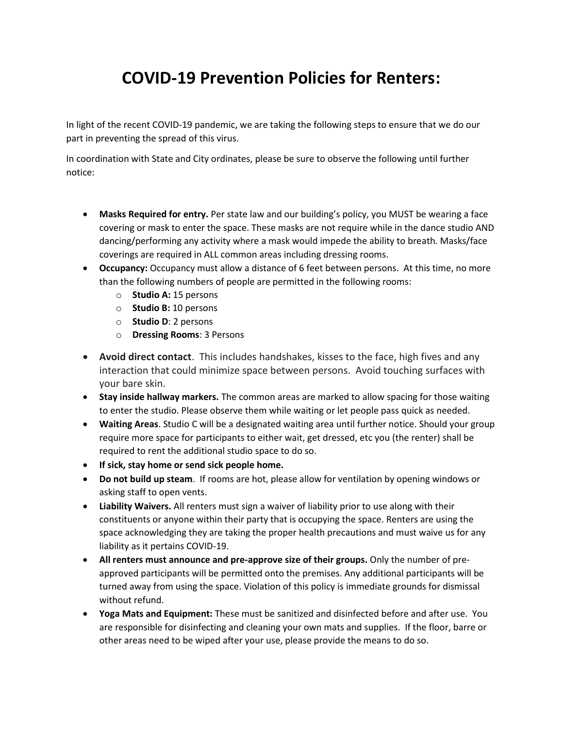## **COVID-19 Prevention Policies for Renters:**

In light of the recent COVID-19 pandemic, we are taking the following steps to ensure that we do our part in preventing the spread of this virus.

In coordination with State and City ordinates, please be sure to observe the following until further notice:

- **Masks Required for entry.** Per state law and our building's policy, you MUST be wearing a face covering or mask to enter the space. These masks are not require while in the dance studio AND dancing/performing any activity where a mask would impede the ability to breath. Masks/face coverings are required in ALL common areas including dressing rooms.
- **Occupancy:** Occupancy must allow a distance of 6 feet between persons. At this time, no more than the following numbers of people are permitted in the following rooms:
	- o **Studio A:** 15 persons
	- o **Studio B:** 10 persons
	- o **Studio D**: 2 persons
	- o **Dressing Rooms**: 3 Persons
- **Avoid direct contact**. This includes handshakes, kisses to the face, high fives and any interaction that could minimize space between persons. Avoid touching surfaces with your bare skin.
- **Stay inside hallway markers.** The common areas are marked to allow spacing for those waiting to enter the studio. Please observe them while waiting or let people pass quick as needed.
- **Waiting Areas**. Studio C will be a designated waiting area until further notice. Should your group require more space for participants to either wait, get dressed, etc you (the renter) shall be required to rent the additional studio space to do so.
- **If sick, stay home or send sick people home.**
- **Do not build up steam**. If rooms are hot, please allow for ventilation by opening windows or asking staff to open vents.
- **Liability Waivers.** All renters must sign a waiver of liability prior to use along with their constituents or anyone within their party that is occupying the space. Renters are using the space acknowledging they are taking the proper health precautions and must waive us for any liability as it pertains COVID-19.
- **All renters must announce and pre-approve size of their groups.** Only the number of preapproved participants will be permitted onto the premises. Any additional participants will be turned away from using the space. Violation of this policy is immediate grounds for dismissal without refund.
- **Yoga Mats and Equipment:** These must be sanitized and disinfected before and after use. You are responsible for disinfecting and cleaning your own mats and supplies. If the floor, barre or other areas need to be wiped after your use, please provide the means to do so.